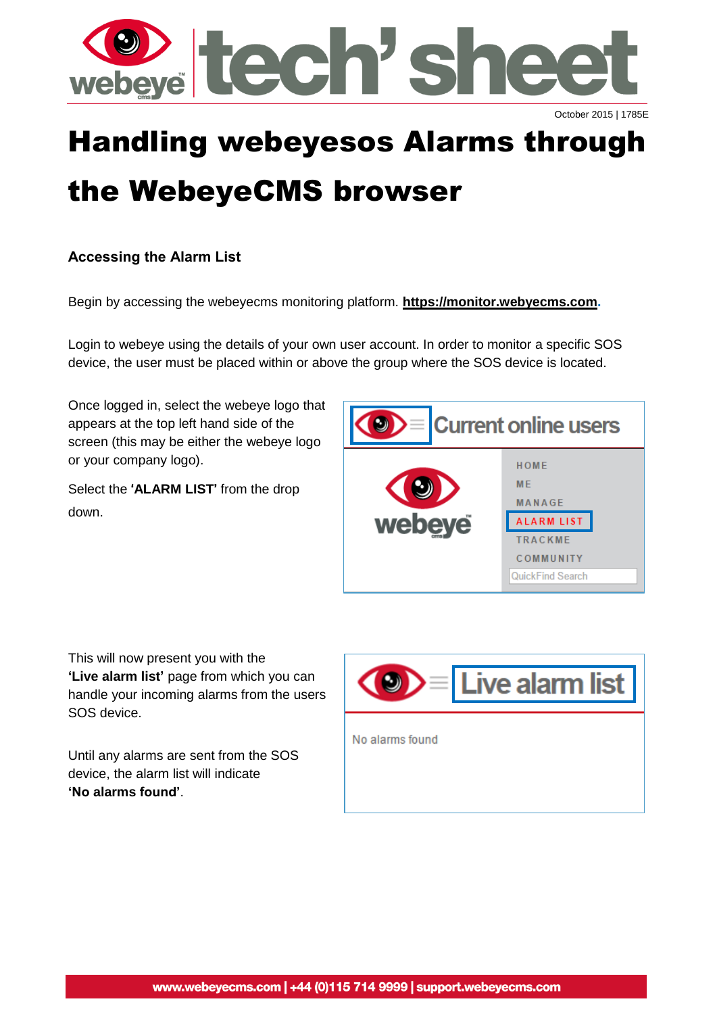

# Handling webeyesos Alarms through

# the WebeyeCMS browser

### **Accessing the Alarm List**

Begin by accessing the webeyecms monitoring platform. **[https://monitor.webyecms.com.](https://monitor.webyecms.com/)**

Login to webeye using the details of your own user account. In order to monitor a specific SOS device, the user must be placed within or above the group where the SOS device is located.

Once logged in, select the webeye logo that appears at the top left hand side of the screen (this may be either the webeye logo or your company logo).

Select the '**ALARM LIST**' from the drop down.



This will now present you with the **'Live alarm list'** page from which you can handle your incoming alarms from the users SOS device.

Until any alarms are sent from the SOS device, the alarm list will indicate **'No alarms found'**.

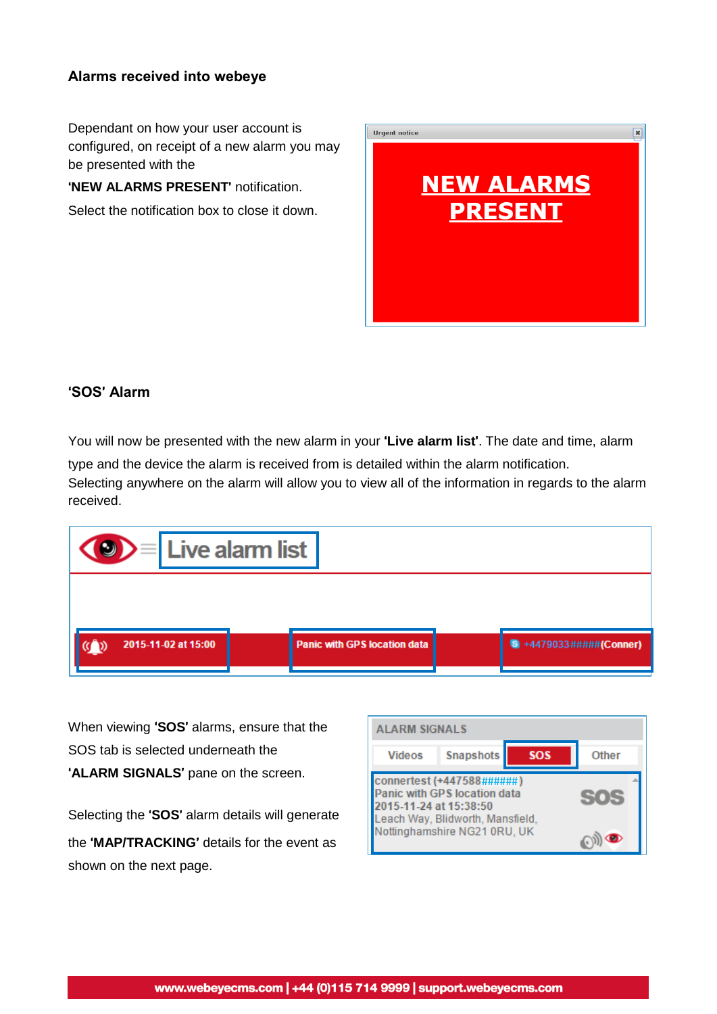#### **Alarms received into webeye**

Dependant on how your user account is configured, on receipt of a new alarm you may be presented with the

'**NEW ALARMS PRESENT**' notification.

Select the notification box to close it down.



#### '**SOS**' **Alarm**

You will now be presented with the new alarm in your '**Live alarm list**'. The date and time, alarm

type and the device the alarm is received from is detailed within the alarm notification. Selecting anywhere on the alarm will allow you to view all of the information in regards to the alarm received.



When viewing '**SOS**' alarms, ensure that the SOS tab is selected underneath the '**ALARM SIGNALS**' pane on the screen.

Selecting the '**SOS**' alarm details will generate the '**MAP/TRACKING**' details for the event as shown on the next page.

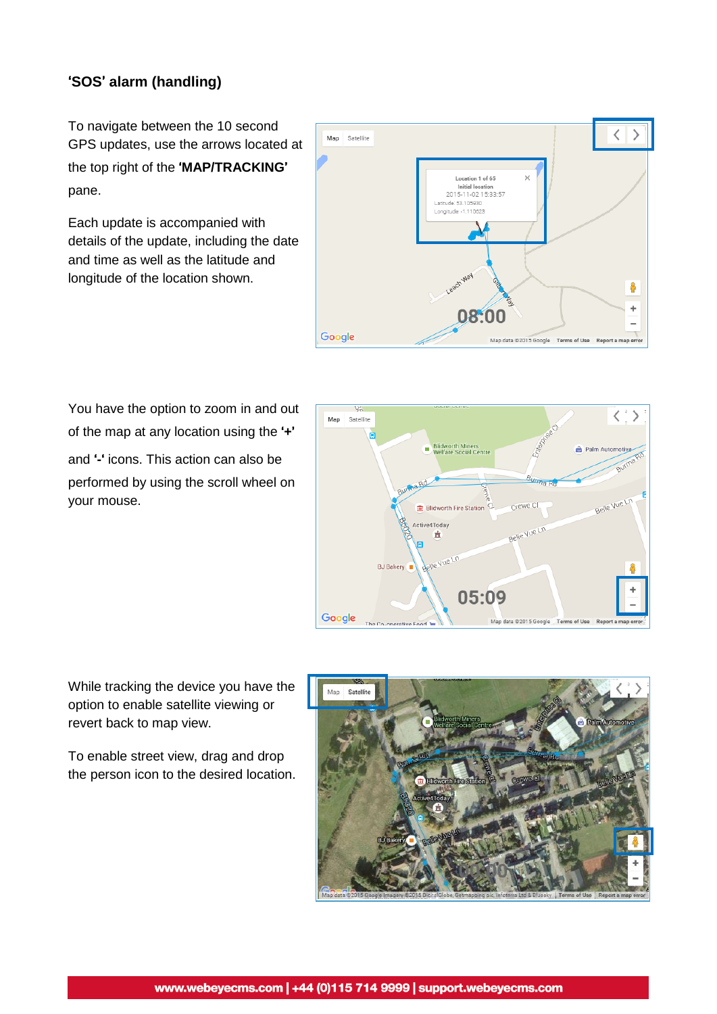#### '**SOS**' **alarm (handling)**

To navigate between the 10 second GPS updates, use the arrows located at the top right of the '**MAP/TRACKING**' pane.

Each update is accompanied with details of the update, including the date and time as well as the latitude and longitude of the location shown.



You have the option to zoom in and out of the map at any location using the '**+**' and '**-**' icons. This action can also be performed by using the scroll wheel on your mouse.



While tracking the device you have the option to enable satellite viewing or revert back to map view.

To enable street view, drag and drop the person icon to the desired location.

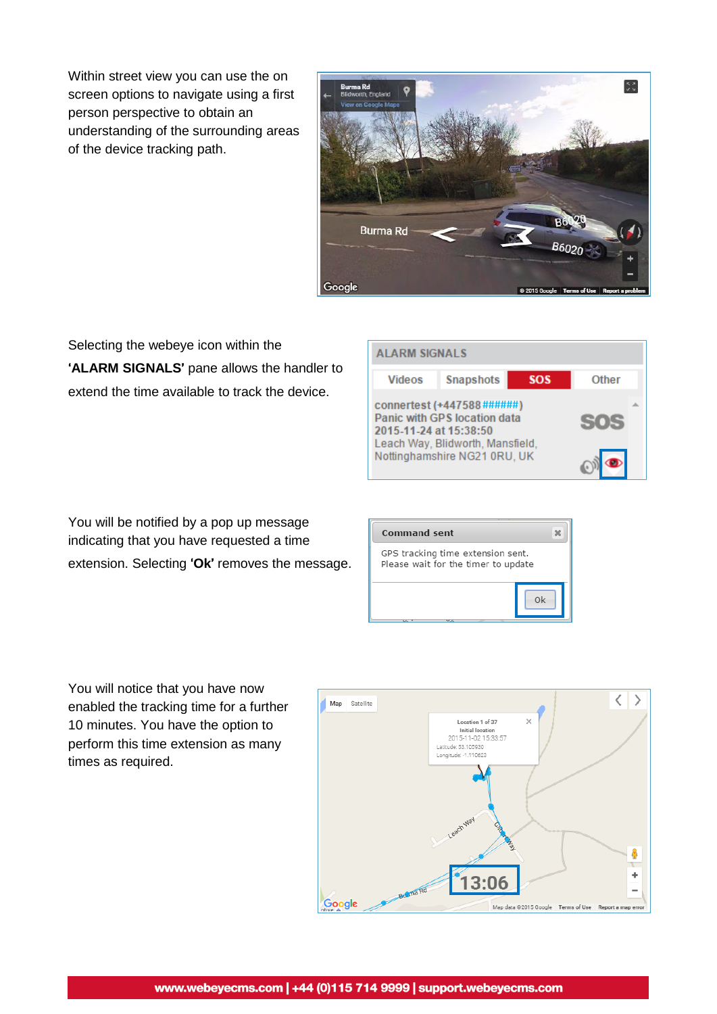Within street view you can use the on screen options to navigate using a first person perspective to obtain an understanding of the surrounding areas of the device tracking path.



Selecting the webeye icon within the '**ALARM SIGNALS**' pane allows the handler to extend the time available to track the device.

| <b>ALARM SIGNALS</b>   |                                                                                                                                |            |              |  |
|------------------------|--------------------------------------------------------------------------------------------------------------------------------|------------|--------------|--|
| <b>Videos</b>          | <b>Snapshots</b>                                                                                                               | <b>SOS</b> | <b>Other</b> |  |
| 2015-11-24 at 15:38:50 | connertest (+447588######)<br>Panic with GPS location data<br>Leach Way, Blidworth, Mansfield,<br>Nottinghamshire NG21 0RU, UK |            | 505          |  |

You will be notified by a pop up message indicating that you have requested a time extension. Selecting '**Ok**' removes the message.



You will notice that you have now enabled the tracking time for a further 10 minutes. You have the option to perform this time extension as many times as required.

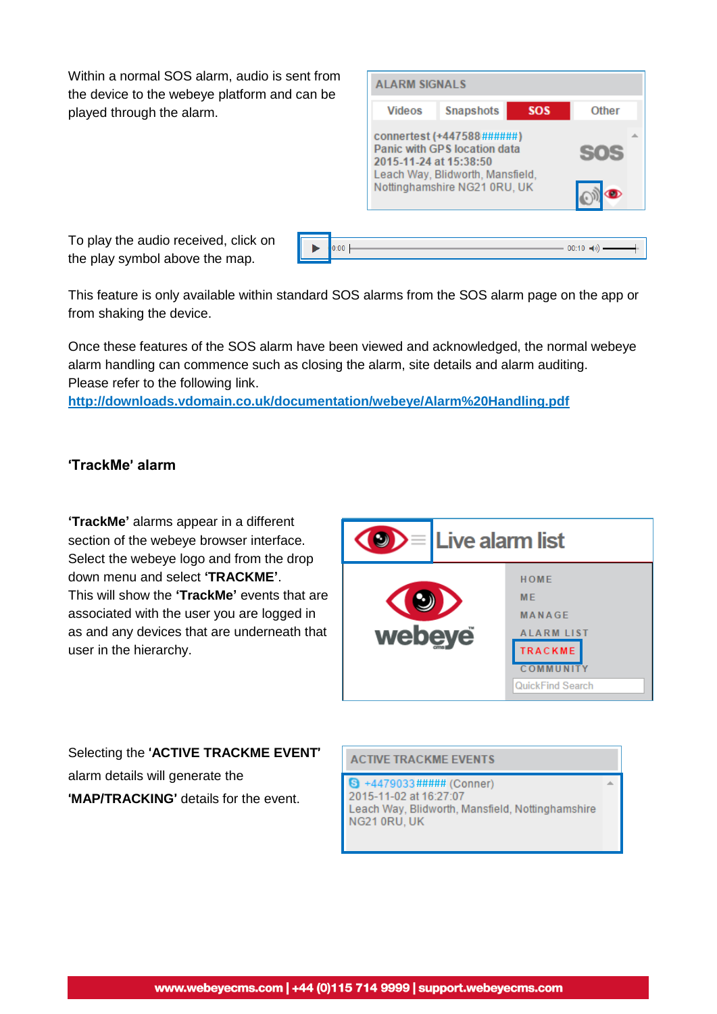Within a normal SOS alarm, audio is sent from the device to the webeye platform and can be played through the alarm.

| <b>ALARM SIGNALS</b>                                                                                                                                     |                  |            |       |
|----------------------------------------------------------------------------------------------------------------------------------------------------------|------------------|------------|-------|
| <b>Videos</b>                                                                                                                                            | <b>Snapshots</b> | <b>SOS</b> | Other |
| connertest (+447588######)<br>Panic with GPS location data<br>2015-11-24 at 15:38:50<br>Leach Way, Blidworth, Mansfield,<br>Nottinghamshire NG21 0RU, UK |                  |            |       |
|                                                                                                                                                          |                  |            |       |

To play the audio received, click on the play symbol above the map.

| $\triangleright$ 0:00 | $- 00:10$ (i) $---$ |
|-----------------------|---------------------|
|                       |                     |

This feature is only available within standard SOS alarms from the SOS alarm page on the app or from shaking the device.

Once these features of the SOS alarm have been viewed and acknowledged, the normal webeye alarm handling can commence such as closing the alarm, site details and alarm auditing. Please refer to the following link.

**<http://downloads.vdomain.co.uk/documentation/webeye/Alarm%20Handling.pdf>**

#### '**TrackMe**' **alarm**

**'TrackMe'** alarms appear in a different section of the webeye browser interface. Select the webeye logo and from the drop down menu and select **'TRACKME'**. This will show the **'TrackMe'** events that are associated with the user you are logged in as and any devices that are underneath that user in the hierarchy.



Selecting the '**ACTIVE TRACKME EVENT**' alarm details will generate the '**MAP/TRACKING**' details for the event.

**ACTIVE TRACKME EVENTS** 

8 +4479033##### (Conner) Leach Way, Blidworth, Mansfield, Nottinghamshire NG21 0RU, UK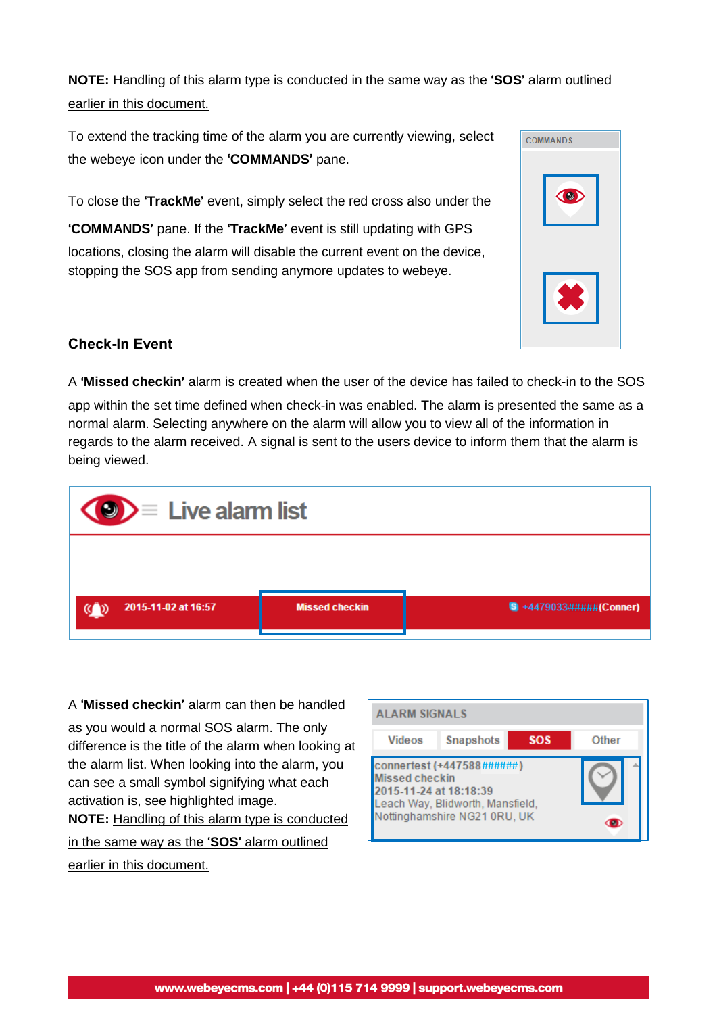**NOTE:** Handling of this alarm type is conducted in the same way as the '**SOS**' alarm outlined earlier in this document.

To extend the tracking time of the alarm you are currently viewing, select the webeye icon under the '**COMMANDS**' pane.

To close the '**TrackMe**' event, simply select the red cross also under the

'**COMMANDS**' pane. If the '**TrackMe**' event is still updating with GPS locations, closing the alarm will disable the current event on the device, stopping the SOS app from sending anymore updates to webeye.

| <b>COMMANDS</b> |  |
|-----------------|--|
| $\bigcirc$      |  |
|                 |  |

#### **Check-In Event**

A '**Missed checkin**' alarm is created when the user of the device has failed to check-in to the SOS app within the set time defined when check-in was enabled. The alarm is presented the same as a normal alarm. Selecting anywhere on the alarm will allow you to view all of the information in regards to the alarm received. A signal is sent to the users device to inform them that the alarm is being viewed.



A '**Missed checkin**' alarm can then be handled

as you would a normal SOS alarm. The only difference is the title of the alarm when looking at the alarm list. When looking into the alarm, you can see a small symbol signifying what each activation is, see highlighted image. **NOTE:** Handling of this alarm type is conducted

in the same way as the '**SOS**' alarm outlined

earlier in this document.

| ALARM SIGNALS                                                                                                                                    |                  |            |              |
|--------------------------------------------------------------------------------------------------------------------------------------------------|------------------|------------|--------------|
| <b>Videos</b>                                                                                                                                    | <b>Snapshots</b> | <b>SOS</b> | <b>Other</b> |
| connertest (+447588######<br><b>Missed checkin</b><br>2015-11-24 at 18:18:39<br>Leach Way, Blidworth, Mansfield,<br>lottinghamshire NG21 0RU, UK |                  |            |              |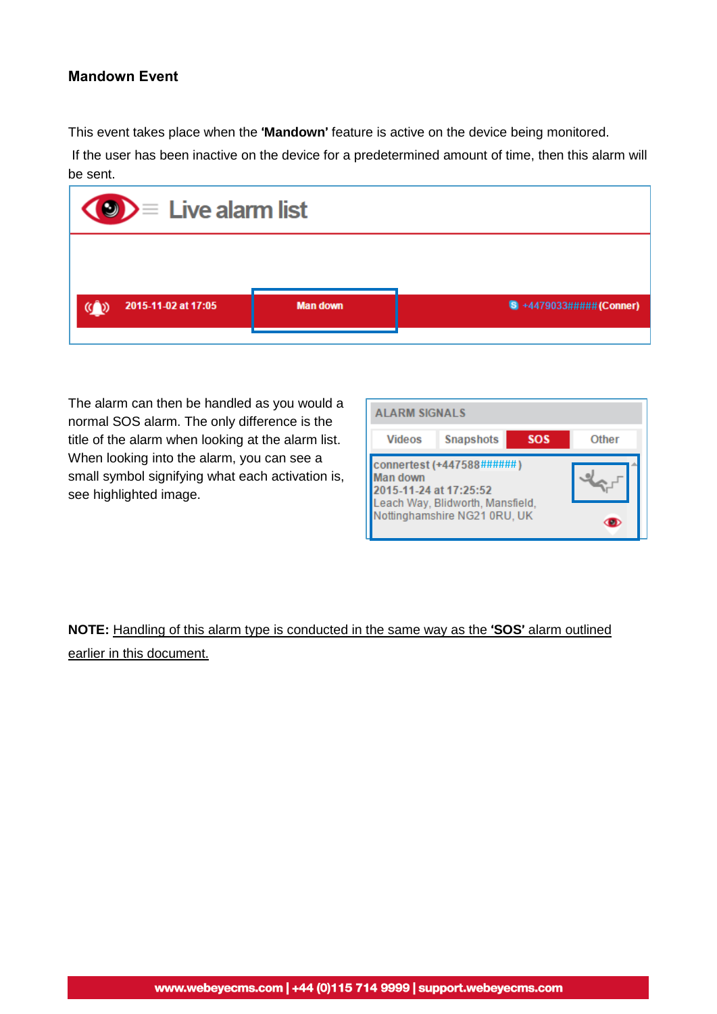#### **Mandown Event**

This event takes place when the '**Mandown**' feature is active on the device being monitored.

If the user has been inactive on the device for a predetermined amount of time, then this alarm will be sent.



The alarm can then be handled as you would a normal SOS alarm. The only difference is the title of the alarm when looking at the alarm list. When looking into the alarm, you can see a small symbol signifying what each activation is, see highlighted image.

| <b>ALARM SIGNALS</b>                                                                                                                |                  |            |              |  |
|-------------------------------------------------------------------------------------------------------------------------------------|------------------|------------|--------------|--|
| <b>Videos</b>                                                                                                                       | <b>Snapshots</b> | <b>SOS</b> | <b>Other</b> |  |
| connertest (+447588######<br>Man down<br>2015-11-24 at 17:25:52<br>Leach Way, Blidworth, Mansfield,<br>Nottinghamshire NG21 0RU, UK |                  |            |              |  |

# **NOTE:** Handling of this alarm type is conducted in the same way as the '**SOS**' alarm outlined earlier in this document.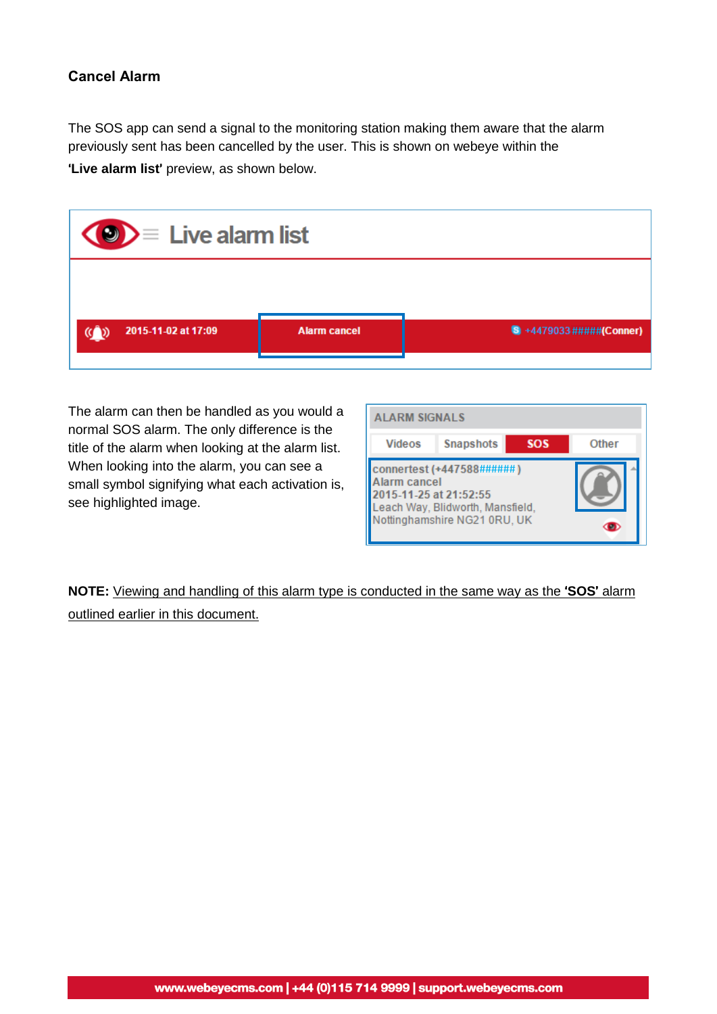#### **Cancel Alarm**

The SOS app can send a signal to the monitoring station making them aware that the alarm previously sent has been cancelled by the user. This is shown on webeye within the

'**Live alarm list**' preview, as shown below.

| $\langle 0 \rangle$ $\equiv$ Live alarm list |                     |                                 |  |
|----------------------------------------------|---------------------|---------------------------------|--|
|                                              |                     |                                 |  |
| 2015-11-02 at 17:09<br><b>GD</b>             | <b>Alarm cancel</b> | $\bullet$ +4479033#####(Conner) |  |

The alarm can then be handled as you would a normal SOS alarm. The only difference is the title of the alarm when looking at the alarm list. When looking into the alarm, you can see a small symbol signifying what each activation is, see highlighted image.

| <b>ALARM SIGNALS</b>                            |                                                                                               |  |              |
|-------------------------------------------------|-----------------------------------------------------------------------------------------------|--|--------------|
| <b>Snapshots</b><br><b>SOS</b><br><b>Videos</b> |                                                                                               |  | <b>Other</b> |
| Alarm cancel<br>2015-11-25 at 21:52:55          | connertest (+447588######<br>Leach Way, Blidworth, Mansfield,<br>Nottinghamshire NG21 0RU, UK |  |              |

**NOTE:** Viewing and handling of this alarm type is conducted in the same way as the '**SOS**' alarm outlined earlier in this document.